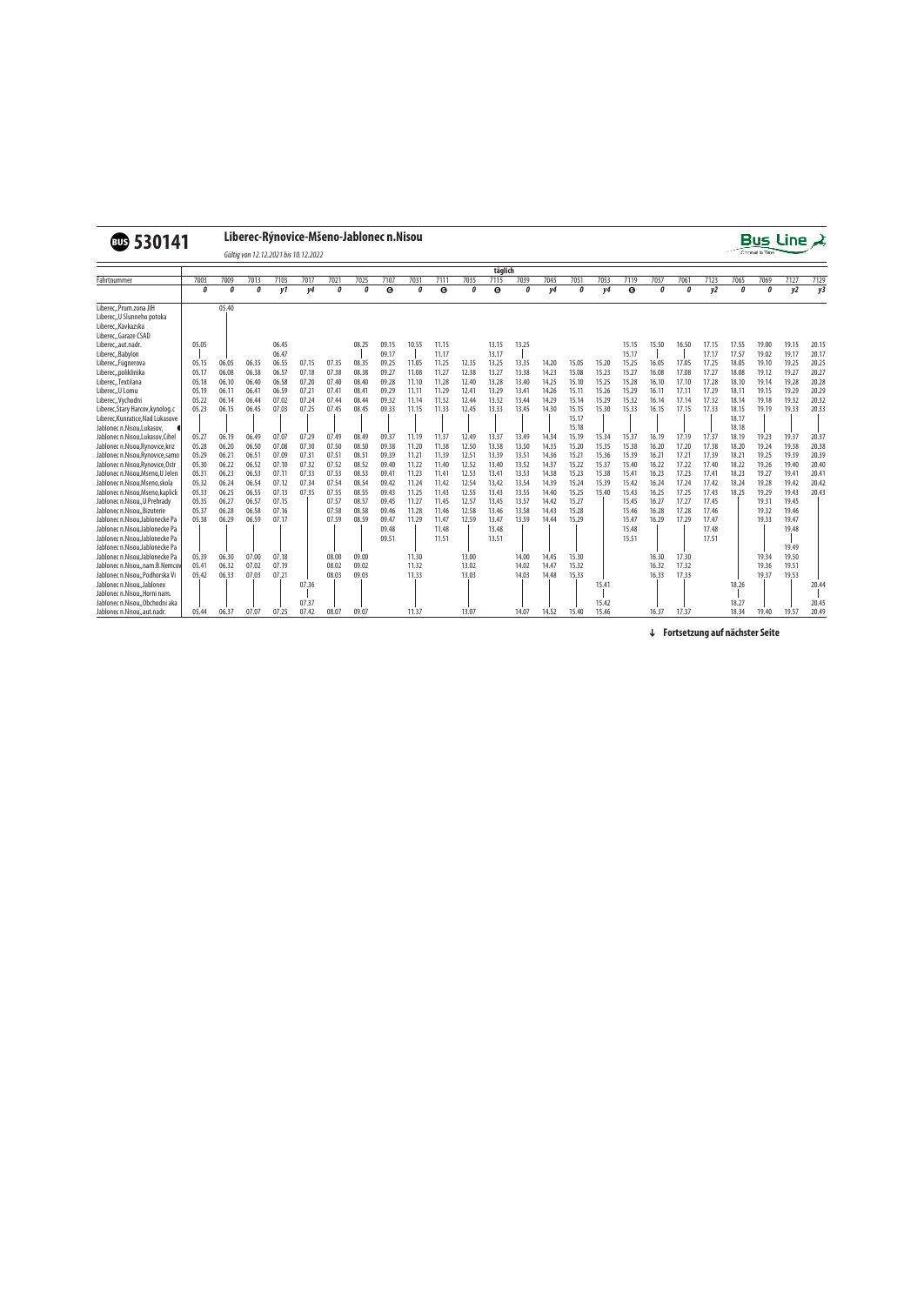## v**530141 Liberec-Rýnovice-Mšeno-Jablonec n.Nisou**



Gültig von 12.12.2021 bis 10.12.2022

|                                  |       |       |       |       |       |       |       |       |       |       |       | täglich |       |       |       |       |       |       |       |       |       |       |       |       |
|----------------------------------|-------|-------|-------|-------|-------|-------|-------|-------|-------|-------|-------|---------|-------|-------|-------|-------|-------|-------|-------|-------|-------|-------|-------|-------|
| Fahrtnummer                      | 7003  | 7009  | 7013  | 7103  | 7017  | 7021  | 7025  | 7107  | 7031  | 7111  | 7035  | 7115    | 7039  | 7045  | 7051  | 7053  | 7119  | 7057  | 7061  | 7123  | 7065  | 7069  | 7127  | 7129  |
|                                  | ŋ     | Λ     | ſ     | v1    | ν4    | Λ     | Л     | G)    | Λ     | G)    |       | 6       | ſ     | v4    | ſ     | v4    | G)    | Λ     | ſ     | y2    | ŋ     | Ω     | y2    | y3    |
| Liberec,, Prum.zona JIH          |       | 05.40 |       |       |       |       |       |       |       |       |       |         |       |       |       |       |       |       |       |       |       |       |       |       |
| Liberec, U Slunneho potoka       |       |       |       |       |       |       |       |       |       |       |       |         |       |       |       |       |       |       |       |       |       |       |       |       |
| Liberec, Kavkazska               |       |       |       |       |       |       |       |       |       |       |       |         |       |       |       |       |       |       |       |       |       |       |       |       |
| Liberec,,Garaze CSAD             |       |       |       |       |       |       |       |       |       |       |       |         |       |       |       |       |       |       |       |       |       |       |       |       |
| Liberec, aut.nadr.               | 05.05 |       |       | 06.45 |       |       | 08.25 | 09.15 | 10.55 | 11.15 |       | 13.15   | 13.25 |       |       |       | 15.15 | 15.50 | 16.50 | 17.15 | 17.55 | 19.00 | 19.15 | 20.15 |
| Liberec,, Babylon                |       |       |       | 06.47 |       |       |       | 09.17 |       | 11.17 |       | 13.17   |       |       |       |       | 15.17 |       |       | 17.17 | 17.57 | 19.02 | 19.17 | 20.17 |
| Liberec, Fügnerova               | 05.15 | 06.05 | 06.35 | 06.55 | 07.15 | 07.35 | 08.35 | 09.25 | 11.05 | 11.25 | 12.35 | 13.25   | 13.35 | 14.20 | 15.05 | 15.20 | 15.25 | 16.05 | 17.05 | 17.25 | 18.05 | 19.10 | 19.25 | 20.25 |
| Liberec,,poliklinika             | 05.17 | 06.08 | 06.38 | 06.57 | 07.18 | 07.38 | 08.38 | 09.27 | 11.08 | 11.27 | 12.38 | 13.27   | 13.38 | 14.23 | 15.08 | 15.23 | 15.27 | 16.08 | 17.08 | 17.27 | 18.08 | 19.12 | 19.27 | 20.27 |
| Liberec, Textilana               | 05.18 | 06.10 | 06.40 | 06.58 | 07.20 | 07.40 | 08.40 | 09.28 | 11.10 | 11.28 | 12.40 | 13.28   | 13.40 | 14.25 | 15.10 | 15.25 | 15.28 | 16.10 | 17.10 | 17.28 | 18.10 | 19.14 | 19.28 | 20.28 |
| Liberec,, U Lomu                 | 05.19 | 06.11 | 06.41 | 06.59 | 07.21 | 07.41 | 08.41 | 09.29 | 11.11 | 11.29 | 12.41 | 13.29   | 13.41 | 14.26 | 15.11 | 15.26 | 15.29 | 16.11 | 17.11 | 17.29 | 18.11 | 19.15 | 19.29 | 20.29 |
| Liberec,, Vychodni               | 05.22 | 06.14 | 06.44 | 07.02 | 07.24 | 07.44 | 08.44 | 09.32 | 11.14 | 11.32 | 12.44 | 13.32   | 13.44 | 14.29 | 15.14 | 15.29 | 15.32 | 16.14 | 17.14 | 17.32 | 18.14 | 19.18 | 19.32 | 20.32 |
| Liberec, Stary Harcov, kynolog.c | 05.23 | 06.15 | 06.45 | 07.03 | 07.25 | 07.45 | 08.45 | 09.33 | 11.15 | 11.33 | 12.45 | 13.33   | 13.45 | 14.30 | 15.15 | 15.30 | 15.33 | 16.15 | 17.15 | 17.33 | 18.15 | 19.19 | 19.33 | 20.33 |
| Liberec, Kunratice, Nad Lukasove |       |       |       |       |       |       |       |       |       |       |       |         |       |       | 15.17 |       |       |       |       |       | 18.17 |       |       |       |
| Jablonec n.Nisou, Lukasov,       |       |       |       |       |       |       |       |       |       |       |       |         |       |       | 15.18 |       |       |       |       |       | 18.18 |       |       |       |
| Jablonec n.Nisou,Lukasov,Cihel   | 05.27 | 06.19 | 06.49 | 07.07 | 07.29 | 07.49 | 08.49 | 09.37 | 11.19 | 11.37 | 12.49 | 13.37   | 13.49 | 14.34 | 15.19 | 15.34 | 15.37 | 16.19 | 17.19 | 17.37 | 18.19 | 19.23 | 19.37 | 20.37 |
| Jablonec n.Nisou, Rynovice, kriz | 05.28 | 06.20 | 06.50 | 07.08 | 07.30 | 07.50 | 08.50 | 09.38 | 11.20 | 11.38 | 12.50 | 13.38   | 13.50 | 14.35 | 15.20 | 15.35 | 15.38 | 16.20 | 17.20 | 17.38 | 18.20 | 19.24 | 19.38 | 20.38 |
| Jablonec n.Nisou, Rynovice, samo | 05.29 | 06.21 | 06.51 | 07.09 | 07.31 | 07.51 | 08.51 | 09.39 | 11.21 | 11.39 | 12.51 | 13.39   | 13.51 | 14.36 | 15.21 | 15.36 | 15.39 | 16.21 | 17.21 | 17.39 | 18.21 | 19.25 | 19.39 | 20.39 |
| Jablonec n.Nisou.Rynovice.Ostr   | 05.30 | 06.22 | 06.52 | 07.10 | 07.32 | 07.52 | 08.52 | 09.40 | 11.22 | 11.40 | 12.52 | 13.40   | 13.52 | 14.37 | 15.22 | 15.37 | 15.40 | 16.22 | 17.22 | 17.40 | 18.22 | 19.26 | 19.40 | 20.40 |
| Jablonec n.Nisou, Mseno, U Jelen | 05.31 | 06.23 | 06.53 | 07.11 | 07.33 | 07.53 | 08.53 | 09.41 | 11.23 | 11.41 | 12.53 | 13.41   | 13.53 | 14.38 | 15.23 | 15.38 | 15.41 | 16.23 | 17.23 | 17.41 | 18.23 | 19.27 | 19.41 | 20.41 |
| Jablonec n.Nisou, Mseno, skola   | 05.32 | 06.24 | 06.54 | 07.12 | 07.34 | 07.54 | 08.54 | 09.42 | 11.24 | 11.42 | 12.54 | 13.42   | 13.54 | 14.39 | 15.24 | 15.39 | 15.42 | 16.24 | 17.24 | 17.42 | 18.24 | 19.28 | 19.42 | 20.42 |
| Jablonec n.Nisou.Mseno.kaplick   | 05.33 | 06.25 | 06.55 | 07.13 | 07.35 | 07.55 | 08.55 | 09.43 | 11.25 | 11.43 | 12.55 | 13.43   | 13.55 | 14.40 | 15.25 | 15.40 | 15.43 | 16.25 | 17.25 | 17.43 | 18.25 | 19.29 | 19.43 | 20.43 |
| Jablonec n.Nisou, U Prehrady     | 05.35 | 06.27 | 06.57 | 07.15 |       | 07.57 | 08.57 | 09.45 | 11.27 | 11.45 | 12.57 | 13.45   | 13.57 | 14.42 | 15.27 |       | 15.45 | 16.27 | 17.27 | 17.45 |       | 19.31 | 19.45 |       |
| Jablonec n.NisouBizuterie        | 05.37 | 06.28 | 06.58 | 07.16 |       | 07.58 | 08.58 | 09.46 | 11.28 | 11.46 | 12.58 | 13.46   | 13.58 | 14.43 | 15.28 |       | 15.46 | 16.28 | 17.28 | 17.46 |       | 19.32 | 19.46 |       |
| Jablonec n.Nisou.Jablonecke Pa   | 05.38 | 06.29 | 06.59 | 07.17 |       | 07.59 | 08.59 | 09.47 | 11.29 | 11.47 | 12.59 | 13.47   | 13.59 | 14.44 | 15.29 |       | 15.47 | 16.29 | 17.29 | 17.47 |       | 19.33 | 19.47 |       |
| Jablonec n.Nisou.Jablonecke Pa   |       |       |       |       |       |       |       | 09.48 |       | 11.48 |       | 13.48   |       |       |       |       | 15.48 |       |       | 17.48 |       |       | 19.48 |       |
| Jablonec n.Nisou.Jablonecke Pa   |       |       |       |       |       |       |       | 09.51 |       | 11.51 |       | 13.51   |       |       |       |       | 15.51 |       |       | 17.51 |       |       |       |       |
| Jablonec n.Nisou.Jablonecke Pa   |       |       |       |       |       |       |       |       |       |       |       |         |       |       |       |       |       |       |       |       |       |       | 19.49 |       |
| Jablonec n.Nisou.Jablonecke Pa   | 05.39 | 06.30 | 07.00 | 07.18 |       | 08.00 | 09.00 |       | 11.30 |       | 13.00 |         | 14.00 | 14.45 | 15.30 |       |       | 16.30 | 17.30 |       |       | 19.34 | 19.50 |       |
| Jablonec n.Nisou,,nam.B.Nemco    | 05.41 | 06.32 | 07.02 | 07.19 |       | 08.02 | 09.02 |       | 11.32 |       | 13.02 |         | 14.02 | 14.47 | 15.32 |       |       | 16.32 | 17.32 |       |       | 19.36 | 19.51 |       |
| Jablonec n.Nisou,, Podhorska Vi  | 05.42 | 06.33 | 07.03 | 07.21 |       | 08.03 | 09.03 |       | 11.33 |       | 13.03 |         | 14.03 | 14.48 | 15.33 |       |       | 16.33 | 17.33 |       |       | 19.37 | 19.53 |       |
| Jablonec n.Nisou, Jablonex       |       |       |       |       | 07.36 |       |       |       |       |       |       |         |       |       |       | 15.41 |       |       |       |       | 18.26 |       |       | 20.44 |
| Jablonec n.Nisou,, Horni nam.    |       |       |       |       |       |       |       |       |       |       |       |         |       |       |       |       |       |       |       |       |       |       |       |       |
| Jablonec n.NisouObchodni aka     |       |       |       |       | 07.37 |       |       |       |       |       |       |         |       |       |       | 15.42 |       |       |       |       | 18.27 |       |       | 20.45 |
| Jablonec n.Nisou,,aut.nadr       | 05.44 | 06.37 | 07.07 | 07.25 | 07.42 | 08.07 | 09.07 |       | 11.37 |       | 13.07 |         | 14.07 | 14.52 | 15.40 | 15.46 |       | 16.37 | 17.37 |       | 18.34 | 19.40 | 19.57 | 20.49 |

 **Fortsetzung auf nächster Seite**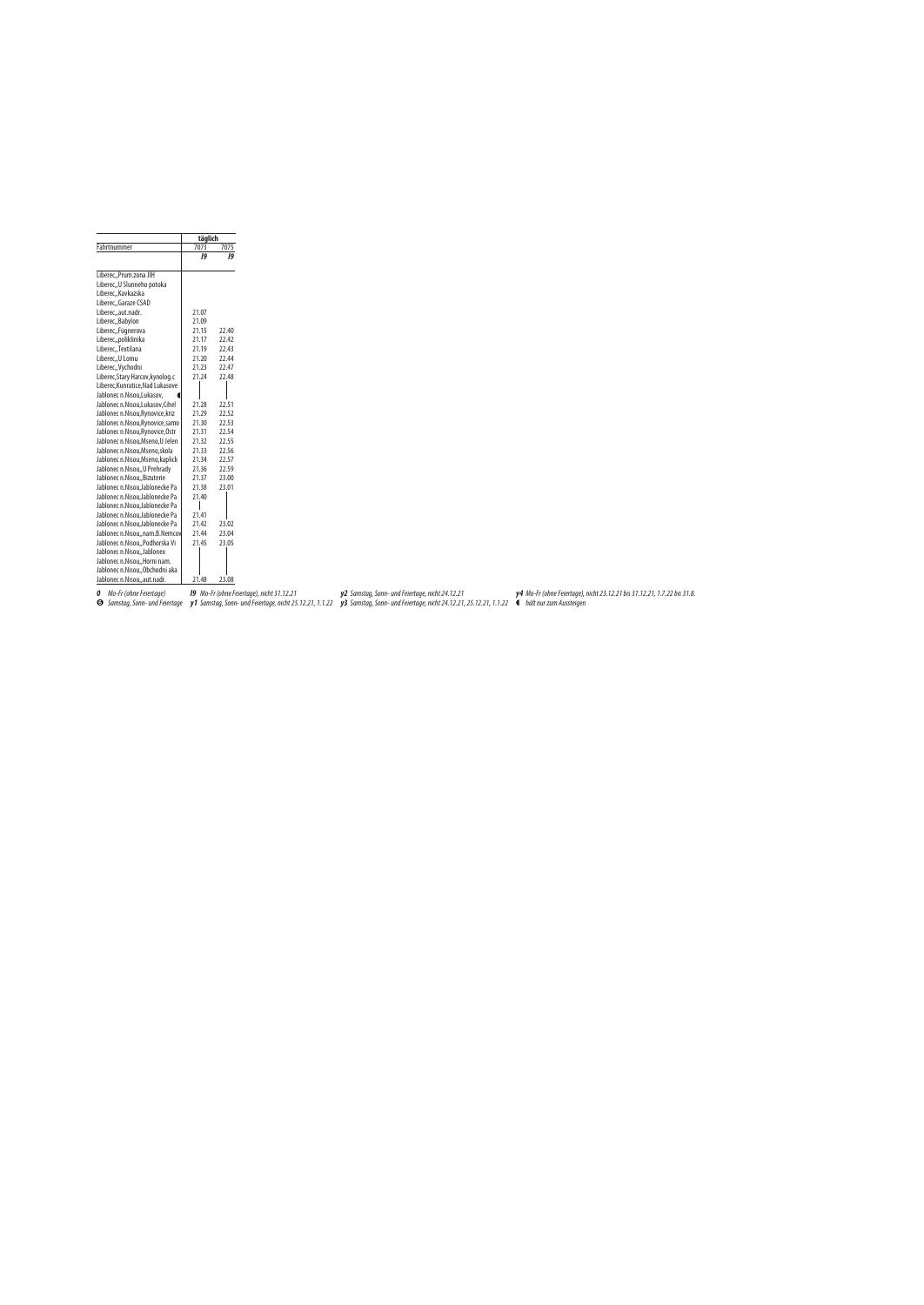|                                  | täglich |       |
|----------------------------------|---------|-------|
| Fahrtnummer                      | 7073    | 7075  |
|                                  | 19      | 19    |
| Liberec,,Prum.zona JIH           |         |       |
| Liberec,, U Slunneho potoka      |         |       |
| Liberec,, Kavkazska              |         |       |
| Liberec,,Garaze CSAD             |         |       |
| Liberec,,aut.nadr.               | 21.07   |       |
| Liberec, Babylon                 | 21.09   |       |
| Liberec, Fügnerova               | 21.15   | 22.40 |
| Liberec,,poliklinika             | 21.17   | 22.42 |
| Liberec,,Textilana               | 21.19   | 22.43 |
| Liberec,, U Lomu                 | 21.20   | 22.44 |
| Liberec,, Vychodni               | 21.23   | 22.47 |
| Liberec, Stary Harcov, kynolog.c | 21.24   | 22.48 |
| Liberec, Kunratice, Nad Lukasove |         |       |
| Jablonec n.Nisou, Lukasov,       |         |       |
| Jablonec n.Nisou,Lukasov,Cihel   | 21.28   | 22.51 |
| Jablonec n.Nisou, Rynovice, kriz | 21.29   | 22.52 |
| Jablonec n.Nisou, Rynovice, samo | 21.30   | 22.53 |
| Jablonec n.Nisou, Rynovice, Ostr | 21.31   | 22.54 |
| Jablonec n.Nisou, Mseno, U Jelen | 21.32   | 22.55 |
| Jablonec n.Nisou, Mseno, skola   | 21.33   | 22.56 |
| Jablonec n.Nisou, Mseno, kaplick | 21.34   | 22.57 |
| Jablonec n.Nisou,, U Prehrady    | 21.36   | 22.59 |
| Jablonec n.Nisou,, Bizuterie     | 21.37   | 23.00 |
| Jablonec n.Nisou, Jablonecke Pa  | 21.38   | 23.01 |
| Jablonec n.Nisou, Jablonecke Pa  | 21.40   |       |
| Jablonec n.Nisou, Jablonecke Pa  |         |       |
| Jablonec n.Nisou, Jablonecke Pa  | 21.41   |       |
| Jablonec n.Nisou, Jablonecke Pa  | 21.42   | 23.02 |
| Jablonec n.Nisou,,nam.B.Nemcov   | 21.44   | 23.04 |
| Jablonec n.Nisou,, Podhorska Vi  | 21.45   | 23.05 |
| Jablonec n.Nisou, Jablonex       |         |       |
| Jablonec n.Nisou,, Horni nam.    |         |       |
| Jablonec n.Nisou,, Obchodni aka  |         |       |
| Jablonec n.Nisou,,aut.nadr.      | 21.48   | 23.08 |

**0** Mo-Fr (ohne Feiertage)

**l9** Mo-Fr (ohne Feiertage), nicht 31.12.21

**y2** Samstag, Sonn- und Feiertage, nicht 24.12.21

**y4** Mo-Fr (ohne Feiertage), nicht 23.12.21 bis 31.12.21, 1.7.22 bis 31.8.

**⊙** Samstag, Sonn- und Feiertage **y1** Samstag, Sonn- und Feiertage, nicht 25.12.21, 1.1.22 **y3** Samstag, Sonn- und Feiertage, nicht 24.12.21, 25.12.21, 1.1.22 ● hält nur zum Aussteigen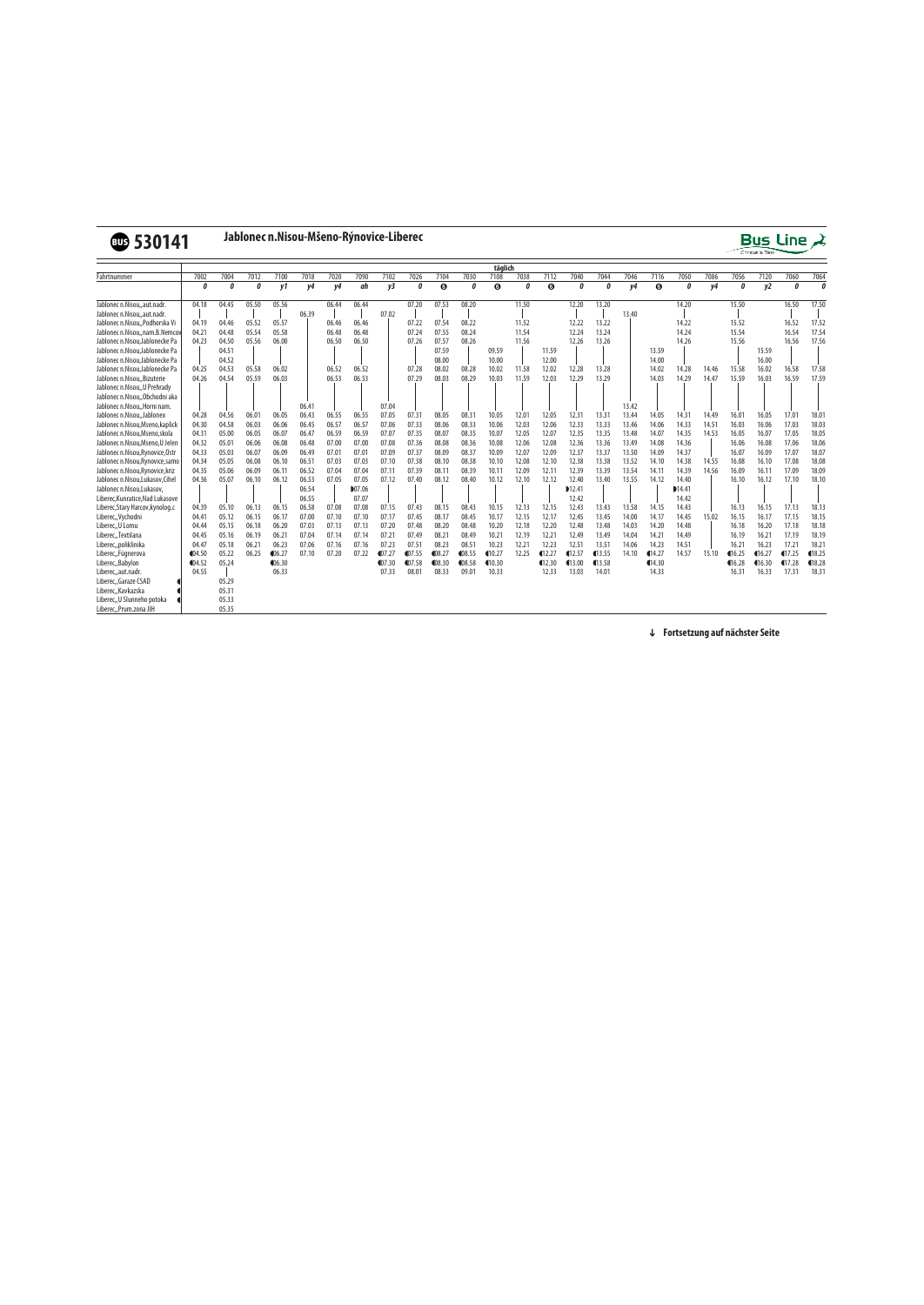

## v**530141 Jablonec n.Nisou-Mšeno-Rýnovice-Liberec**



|                                  |            |          |       |            |       |       |                |         |         |                       |        | täglich |       |            |         |        |       |                       |       |       |            |                |                |          |
|----------------------------------|------------|----------|-------|------------|-------|-------|----------------|---------|---------|-----------------------|--------|---------|-------|------------|---------|--------|-------|-----------------------|-------|-------|------------|----------------|----------------|----------|
| Fahrtnummer                      | 7002       | 7004     | 7012  | 7100       | 7018  | 7020  | 7090           | 7102    | 7026    | 7104                  | 7030   | 7108    | 7038  | 7112       | 7040    | 7044   | 7046  | 7116                  | 7050  | 7086  | 7056       | 7120           | 7060           | 7064     |
|                                  | $\theta$   | $\theta$ | n     | v1         | y4    | v4    | ah             | v3      | O       | $\boldsymbol{\Theta}$ | n      | ❺       | n     | $\odot$    | 0       | 0      | v4    | $\boldsymbol{\Theta}$ | 0     | y4    | $\theta$   | v <sub>2</sub> | $\mathfrak{a}$ | $\theta$ |
| Jablonec n.Nisouaut.nadr.        | 04.18      | 04.45    | 05.50 | 05.56      |       | 06.44 | 06.44          |         | 07.20   | 07.53                 | 08.20  |         | 11.50 |            | 12.20   | 13.20  |       |                       | 14.20 |       | 15.50      |                | 16.50          | 17.50    |
| Jablonec n.Nisouaut.nadr.        |            |          |       |            | 06.39 |       |                | 07.02   |         |                       |        |         |       |            |         |        | 13.40 |                       |       |       |            |                |                |          |
| Jablonec n.Nisou, Podhorska Vi   | 04.19      | 04.46    | 05.52 | 05.57      |       | 06.46 | 06.46          |         | 07.22   | 07.54                 | 08.22  |         | 11.52 |            | 12.22   | 13.22  |       |                       | 14.22 |       | 15.52      |                | 16.52          | 17.52    |
| Jablonec n.Nisou., nam.B.Nemcov  | 04.21      | 04.48    | 05.54 | 05.58      |       | 06.48 | 06.48          |         | 07.24   | 07.55                 | 08.24  |         | 11.54 |            | 12.24   | 13.24  |       |                       | 14.24 |       | 15.54      |                | 16.54          | 17.54    |
| Jablonec n.Nisou, Jablonecke Pa  | 04.23      | 04.50    | 05.56 | 06.00      |       | 06.50 | 06.50          |         | 07.26   | 07.57                 | 08.26  |         | 11.56 |            | 12.26   | 13.26  |       |                       | 14.26 |       | 15.56      |                | 16.56          | 17.56    |
| Jablonec n.Nisou.Jablonecke Pa   |            | 04.51    |       |            |       |       |                |         |         | 07.59                 |        | 09.59   |       | 11.59      |         |        |       | 13.59                 |       |       |            | 15.59          |                |          |
| Jablonec n.Nisou.Jablonecke Pa   |            | 04.52    |       |            |       |       |                |         |         | 08.00                 |        | 10.00   |       | 12.00      |         |        |       | 14.00                 |       |       |            | 16.00          |                |          |
| Jablonec n.Nisou.Jablonecke Pa   | 04.25      | 04.53    | 05.58 | 06.02      |       | 06.52 | 06.52          |         | 07.28   | 08.02                 | 08.28  | 10.02   | 11.58 | 12.02      | 12.28   | 13.28  |       | 14.02                 | 14.28 | 14.46 | 15.58      | 16.02          | 16.58          | 17.58    |
| Jablonec n.Nisou, Bizuterie      | 04.26      | 04.54    | 05.59 | 06.03      |       | 06.53 | 06.53          |         | 07.29   | 08.03                 | 08.29  | 10.03   | 11.59 | 12.03      | 12.29   | 13.29  |       | 14.03                 | 14.29 | 14.47 | 15.59      | 16.03          | 16.59          | 17.59    |
| Jablonec n.Nisou,, U Prehrady    |            |          |       |            |       |       |                |         |         |                       |        |         |       |            |         |        |       |                       |       |       |            |                |                |          |
| Jablonec n.NisouObchodni aka     |            |          |       |            |       |       |                |         |         |                       |        |         |       |            |         |        |       |                       |       |       |            |                |                |          |
| Jablonec n.Nisou, Horni nam.     |            |          |       |            | 06.41 |       |                | 07.04   |         |                       |        |         |       |            |         |        | 13.42 |                       |       |       |            |                |                |          |
| Jablonec n.Nisou, Jablonex       | 04.28      | 04.56    | 06.01 | 06.05      | 06.43 | 06.55 | 06.55          | 07.05   | 07.31   | 08.05                 | 08.31  | 10.05   | 12.01 | 12.05      | 12.31   | 13.31  | 13.44 | 14.05                 | 14.31 | 14.49 | 16.01      | 16.05          | 17.01          | 18.01    |
| Jablonec n.Nisou, Mseno, kaplick | 04.30      | 04.58    | 06.03 | 06.06      | 06.45 | 06.57 | 06.57          | 07.06   | 07.33   | 08.06                 | 08.33  | 10.06   | 12.03 | 12.06      | 12.33   | 13.33  | 13.46 | 14.06                 | 14.33 | 14.51 | 16.03      | 16.06          | 17.03          | 18.03    |
| Jablonec n.Nisou.Mseno.skola     | 04.31      | 05.00    | 06.05 | 06.07      | 06.47 | 06.59 | 06.59          | 07.07   | 07.35   | 08.07                 | 08.35  | 10.07   | 12.05 | 12.07      | 12.35   | 13.35  | 13.48 | 14.07                 | 14.35 | 14.53 | 16.05      | 16.07          | 17.05          | 18.05    |
| Jablonec n.Nisou, Mseno, U Jelen | 04.32      | 05.01    | 06.06 | 06.08      | 06.48 | 07.00 | 07.00          | 07.08   | 07.36   | 08.08                 | 08.36  | 10.08   | 12.06 | 12.08      | 12.36   | 13.36  | 13.49 | 14.08                 | 14.36 |       | 16.06      | 16.08          | 17.06          | 18.06    |
| Jablonec n.Nisou, Rynovice, Ostr | 04.33      | 05.03    | 06.07 | 06.09      | 06.49 | 07.01 | $07.0^{\circ}$ | 07.09   | 07.37   | 08.09                 | 08.37  | 10.09   | 12.07 | 12.09      | 12.37   | 13.37  | 13.50 | 14.09                 | 14.37 |       | 16.07      | 16.09          | 17.07          | 18.07    |
| Jablonec n.Nisou, Rynovice, samo | 04.34      | 05.05    | 06.08 | 06.10      | 06.51 | 07.03 | 07.03          | 07.10   | 07.38   | 08.10                 | 08.38  | 10.10   | 12.08 | 12.10      | 12.38   | 13.38  | 13.52 | 14.10                 | 14.38 | 14.55 | 16.08      | 16.10          | 17.08          | 18.08    |
| Jablonec n.Nisou, Rynovice, kriz | 04.35      | 05.06    | 06.09 | 06.11      | 06.52 | 07.04 | 07.04          | 07.11   | 07.39   | 08.11                 | 08.39  | 10.11   | 12.09 | 12.1       | 12.39   | 13.39  | 13.54 | 14.11                 | 14.39 | 14.56 | 16.09      | 16.11          | 17.09          | 18.09    |
| Jablonec n.Nisou,Lukasov,Cihel   | 04.36      | 05.07    | 06.10 | 06.12      | 06.53 | 07.05 | 07.05          | 07.12   | 07.40   | 08.12                 | 08.40  | 10.12   | 12.10 | 12.12      | 12.40   | 13.40  | 13.55 | 14.12                 | 14.40 |       | 16.10      | 16.12          | 17.10          | 18.10    |
| Jablonec n.Nisou.Lukasov.        |            |          |       |            | 06.54 |       | ■07.06         |         |         |                       |        |         |       |            | D12.41  |        |       |                       | 14.41 |       |            |                |                |          |
| Liberec.Kunratice.Nad Lukasove   |            |          |       |            | 06.55 |       | 07.07          |         |         |                       |        |         |       |            | 12.42   |        |       |                       | 14.42 |       |            |                |                |          |
| Liberec, Stary Harcov, kynolog.c | 04.39      | 05.10    | 06.13 | 06.15      | 06.58 | 07.08 | 07.08          | 07.15   | 07.43   | 08.15                 | 08.43  | 10.15   | 12.13 | 12.15      | 12.43   | 13.43  | 13.58 | 14.15                 | 14.43 |       | 16.13      | 16.15          | 17.13          | 18.13    |
| Liberec,, Vychodni               | 04.41      | 05.12    | 06.15 | 06.17      | 07.00 | 07.10 | 07.10          | 07.17   | 07.45   | 08.17                 | 08.45  | 10.17   | 12.15 | 12.17      | 12.45   | 13.45  | 14.00 | 14.17                 | 14.45 | 15.02 | 16.15      | 16.17          | 17.15          | 18.15    |
| Liberec., U Lomu                 | 04.44      | 05.15    | 06.18 | 06.20      | 07.03 | 07.13 | 07.13          | 07.20   | 07.48   | 08.20                 | 08.48  | 10.20   | 12.18 | 12.20      | 12.48   | 13.48  | 14.03 | 14.20                 | 14.48 |       | 16.18      | 16.20          | 17.18          | 18.18    |
| Liberec, Textilana               | 04.45      | 05.16    | 06.19 | 06.21      | 07.04 | 07.14 | 07.14          | 07.21   | 07.49   | 08.21                 | 08.49  | 10.21   | 12.19 | 12.21      | 12.49   | 13.49  | 14.04 | 14.21                 | 14.49 |       | 16.19      | 16.21          | 17.19          | 18.19    |
| Liberec,,poliklinika             | 04.47      | 05.18    | 06.21 | 06.23      | 07.06 | 07.16 | 07.16          | 07.23   | 07.51   | 08.23                 | 08.51  | 10.23   | 12.21 | 12.23      | 12.51   | 13.51  | 14.06 | 14.23                 | 14.51 |       | 16.21      | 16.23          | 17.21          | 18.21    |
| Liberec, Fügnerova               | $\P 04.50$ | 05.22    | 06.25 | \$06.27    | 07.10 | 07.20 | 07.22          | \$07.27 | \$07.55 | \$08.27               | 108.55 | (10.27) | 12.25 | $\P 12.27$ | \$12.57 | 13.55  | 14.10 | $\P$ 14.27            | 14.57 | 15.10 | $\P 16.25$ | $\P$ 16.27     | \$17.25        | 18.25    |
| Liberec, Babylon                 | $\P 04.52$ | 05.24    |       | $\P 06.30$ |       |       |                | \$07.30 | 407.58  | 408.30                | 408.58 | 410.30  |       | $\P$ 12.30 | (13.00) | 413.58 |       | 414.30                |       |       | $\P 16.28$ | $\P$ 16.30     | $\P 17.28$     | 418.28   |
| Liberec, aut.nadr.               | 04.55      |          |       | 06.33      |       |       |                | 07.33   | 08.01   | 08.33                 | 09.01  | 10.33   |       | 12.33      | 13.03   | 14.01  |       | 14.33                 |       |       | 16.31      | 16.33          | 17.31          | 18.31    |
| Liberec, Garaze CSAD             |            | 05.29    |       |            |       |       |                |         |         |                       |        |         |       |            |         |        |       |                       |       |       |            |                |                |          |
| Liberec,, Kavkazska              |            | 05.31    |       |            |       |       |                |         |         |                       |        |         |       |            |         |        |       |                       |       |       |            |                |                |          |
| Liberec,, U Slunneho potoka      |            | 05.33    |       |            |       |       |                |         |         |                       |        |         |       |            |         |        |       |                       |       |       |            |                |                |          |
| Liberec,,Prum.zona JIH           |            | 05.35    |       |            |       |       |                |         |         |                       |        |         |       |            |         |        |       |                       |       |       |            |                |                |          |